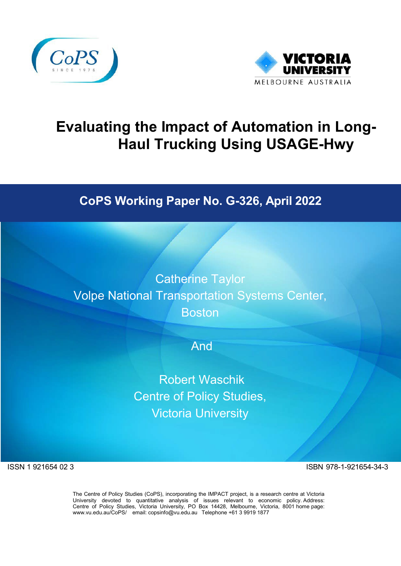



# **Evaluating the Impact of Automation in Long-Haul Trucking Using USAGE-Hwy**

## **CoPS Working Paper No. G-326, April 2022**

Catherine Taylor Volpe National Transportation Systems Center, **Boston** 

And

Robert Waschik Centre of Policy Studies, Victoria University

ISSN 1 921654 02 3 ISBN 978-1-921654-34-3

The Centre of Policy Studies (CoPS), incorporating the IMPACT project, is a research centre at Victoria University devoted to quantitative analysis of issues relevant to economic policy. Address: Centre of Policy Studies, Victoria University, PO Box 14428, Melbourne, Victoria, 8001 home page: [www.vu.edu.au/CoPS/](http://www.vu.edu.au/CoPS/) email: [copsinfo@vu.edu.au](mailto:copsinfo@vu.edu.au) Telephone +61 3 9919 1877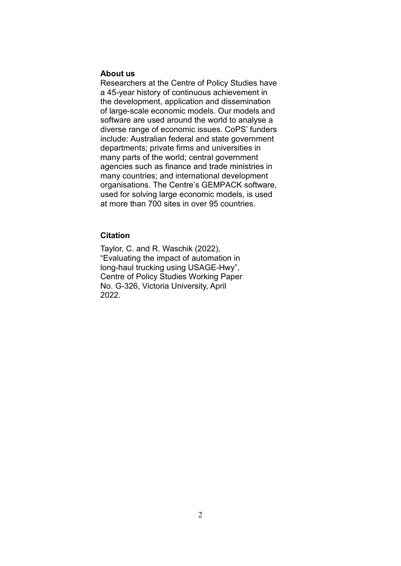#### **About us**

Researchers at the Centre of Policy Studies have a 45-year history of continuous achievement in the development, application and dissemination of large-scale economic models. Our models and software are used around the world to analyse a diverse range of economic issues. CoPS' funders include: Australian federal and state government departments; private firms and universities in many parts of the world; central government agencies such as finance and trade ministries in many countries; and international development organisations. The Centre's GEMPACK software, used for solving large economic models, is used at more than 700 sites in over 95 countries.

#### **Citation**

Taylor, C. and R. Waschik (2022), "Evaluating the impact of automation in long-haul trucking using USAGE-Hwy", Centre of Policy Studies Working Paper No. G-326, Victoria University, April 2022.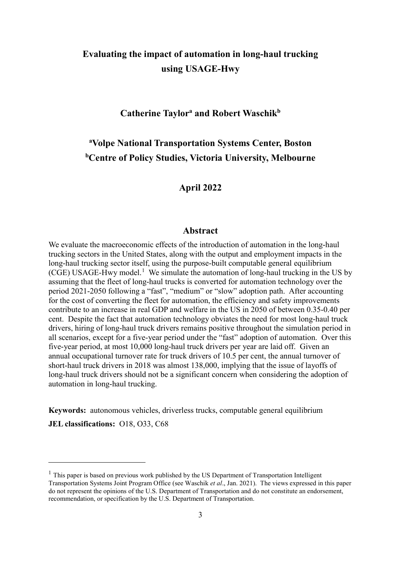### **Evaluating the impact of automation in long-haul trucking using USAGE-Hwy**

#### **Catherine Taylora and Robert Waschikb**

## **a Volpe National Transportation Systems Center, Boston b Centre of Policy Studies, Victoria University, Melbourne**

#### **April 2022**

#### **Abstract**

We evaluate the macroeconomic effects of the introduction of automation in the long-haul trucking sectors in the United States, along with the output and employment impacts in the long-haul trucking sector itself, using the purpose-built computable general equilibrium (CGE) USAGE-Hwy model. [1](#page-2-0) We simulate the automation of long-haul trucking in the US by assuming that the fleet of long-haul trucks is converted for automation technology over the period 2021-2050 following a "fast", "medium" or "slow" adoption path. After accounting for the cost of converting the fleet for automation, the efficiency and safety improvements contribute to an increase in real GDP and welfare in the US in 2050 of between 0.35-0.40 per cent. Despite the fact that automation technology obviates the need for most long-haul truck drivers, hiring of long-haul truck drivers remains positive throughout the simulation period in all scenarios, except for a five-year period under the "fast" adoption of automation. Over this five-year period, at most 10,000 long-haul truck drivers per year are laid off. Given an annual occupational turnover rate for truck drivers of 10.5 per cent, the annual turnover of short-haul truck drivers in 2018 was almost 138,000, implying that the issue of layoffs of long-haul truck drivers should not be a significant concern when considering the adoption of automation in long-haul trucking.

**Keywords:** autonomous vehicles, driverless trucks, computable general equilibrium **JEL classifications:** O18, O33, C68

-

<span id="page-2-0"></span> $<sup>1</sup>$  This paper is based on previous work published by the US Department of Transportation Intelligent</sup> Transportation Systems Joint Program Office (see Waschik *et al*., Jan. 2021). The views expressed in this paper do not represent the opinions of the U.S. Department of Transportation and do not constitute an endorsement, recommendation, or specification by the U.S. Department of Transportation.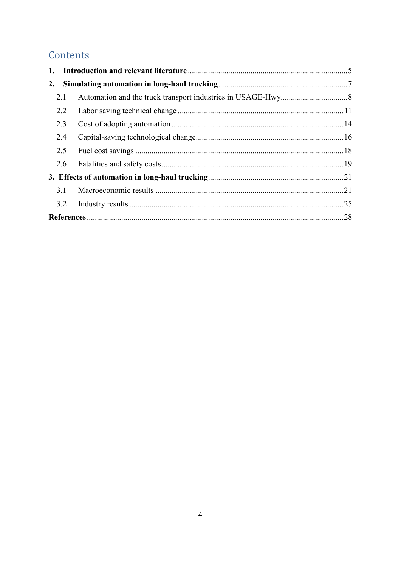## Contents

| 2.  |  |
|-----|--|
| 2.1 |  |
| 2.2 |  |
| 2.3 |  |
| 2.4 |  |
| 2.5 |  |
| 2.6 |  |
|     |  |
| 3.1 |  |
| 3.2 |  |
|     |  |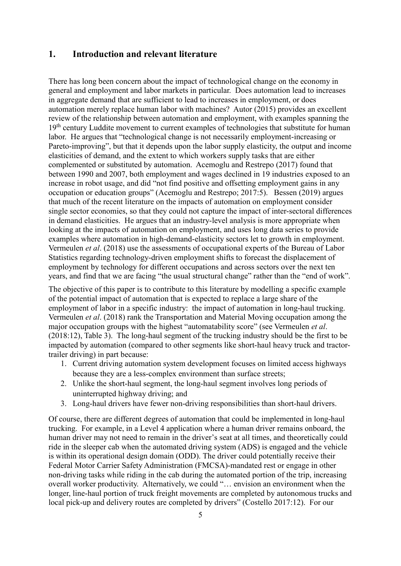#### <span id="page-4-0"></span>**1. Introduction and relevant literature**

There has long been concern about the impact of technological change on the economy in general and employment and labor markets in particular. Does automation lead to increases in aggregate demand that are sufficient to lead to increases in employment, or does automation merely replace human labor with machines? Autor (2015) provides an excellent review of the relationship between automation and employment, with examples spanning the 19<sup>th</sup> century Luddite movement to current examples of technologies that substitute for human labor. He argues that "technological change is not necessarily employment-increasing or Pareto-improving", but that it depends upon the labor supply elasticity, the output and income elasticities of demand, and the extent to which workers supply tasks that are either complemented or substituted by automation. Acemoglu and Restrepo (2017) found that between 1990 and 2007, both employment and wages declined in 19 industries exposed to an increase in robot usage, and did "not find positive and offsetting employment gains in any occupation or education groups" (Acemoglu and Restrepo; 2017:5). Bessen (2019) argues that much of the recent literature on the impacts of automation on employment consider single sector economies, so that they could not capture the impact of inter-sectoral differences in demand elasticities. He argues that an industry-level analysis is more appropriate when looking at the impacts of automation on employment, and uses long data series to provide examples where automation in high-demand-elasticity sectors let to growth in employment. Vermeulen *et al*. (2018) use the assessments of occupational experts of the Bureau of Labor Statistics regarding technology-driven employment shifts to forecast the displacement of employment by technology for different occupations and across sectors over the next ten years, and find that we are facing "the usual structural change" rather than the "end of work".

The objective of this paper is to contribute to this literature by modelling a specific example of the potential impact of automation that is expected to replace a large share of the employment of labor in a specific industry: the impact of automation in long-haul trucking. Vermeulen *et al*. (2018) rank the Transportation and Material Moving occupation among the major occupation groups with the highest "automatability score" (see Vermeulen *et al*. (2018:12), Table 3). The long-haul segment of the trucking industry should be the first to be impacted by automation (compared to other segments like short-haul heavy truck and tractortrailer driving) in part because:

- 1. Current driving automation system development focuses on limited access highways because they are a less-complex environment than surface streets;
- 2. Unlike the short-haul segment, the long-haul segment involves long periods of uninterrupted highway driving; and
- 3. Long-haul drivers have fewer non-driving responsibilities than short-haul drivers.

Of course, there are different degrees of automation that could be implemented in long-haul trucking. For example, in a Level 4 application where a human driver remains onboard, the human driver may not need to remain in the driver's seat at all times, and theoretically could ride in the sleeper cab when the automated driving system (ADS) is engaged and the vehicle is within its operational design domain (ODD). The driver could potentially receive their Federal Motor Carrier Safety Administration (FMCSA)-mandated rest or engage in other non-driving tasks while riding in the cab during the automated portion of the trip, increasing overall worker productivity. Alternatively, we could "… envision an environment when the longer, line-haul portion of truck freight movements are completed by autonomous trucks and local pick-up and delivery routes are completed by drivers" (Costello 2017:12). For our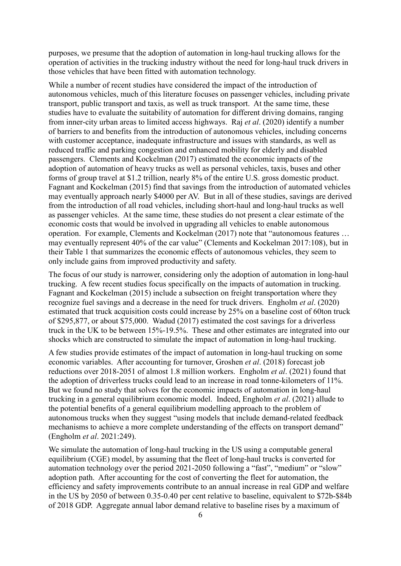purposes, we presume that the adoption of automation in long-haul trucking allows for the operation of activities in the trucking industry without the need for long-haul truck drivers in those vehicles that have been fitted with automation technology.

While a number of recent studies have considered the impact of the introduction of autonomous vehicles, much of this literature focuses on passenger vehicles, including private transport, public transport and taxis, as well as truck transport. At the same time, these studies have to evaluate the suitability of automation for different driving domains, ranging from inner-city urban areas to limited access highways. Raj *et al*. (2020) identify a number of barriers to and benefits from the introduction of autonomous vehicles, including concerns with customer acceptance, inadequate infrastructure and issues with standards, as well as reduced traffic and parking congestion and enhanced mobility for elderly and disabled passengers. Clements and Kockelman (2017) estimated the economic impacts of the adoption of automation of heavy trucks as well as personal vehicles, taxis, buses and other forms of group travel at \$1.2 trillion, nearly 8% of the entire U.S. gross domestic product. Fagnant and Kockelman (2015) find that savings from the introduction of automated vehicles may eventually approach nearly \$4000 per AV. But in all of these studies, savings are derived from the introduction of all road vehicles, including short-haul and long-haul trucks as well as passenger vehicles. At the same time, these studies do not present a clear estimate of the economic costs that would be involved in upgrading all vehicles to enable autonomous operation. For example, Clements and Kockelman (2017) note that "autonomous features … may eventually represent 40% of the car value" (Clements and Kockelman 2017:108), but in their Table 1 that summarizes the economic effects of autonomous vehicles, they seem to only include gains from improved productivity and safety.

The focus of our study is narrower, considering only the adoption of automation in long-haul trucking. A few recent studies focus specifically on the impacts of automation in trucking. Fagnant and Kockelman (2015) include a subsection on freight transportation where they recognize fuel savings and a decrease in the need for truck drivers. Engholm *et al*. (2020) estimated that truck acquisition costs could increase by 25% on a baseline cost of 60ton truck of \$295,877, or about \$75,000. Wadud (2017) estimated the cost savings for a driverless truck in the UK to be between 15%-19.5%. These and other estimates are integrated into our shocks which are constructed to simulate the impact of automation in long-haul trucking.

A few studies provide estimates of the impact of automation in long-haul trucking on some economic variables. After accounting for turnover, Groshen *et al*. (2018) forecast job reductions over 2018-2051 of almost 1.8 million workers. Engholm *et al*. (2021) found that the adoption of driverless trucks could lead to an increase in road tonne-kilometers of 11%. But we found no study that solves for the economic impacts of automation in long-haul trucking in a general equilibrium economic model. Indeed, Engholm *et al*. (2021) allude to the potential benefits of a general equilibrium modelling approach to the problem of autonomous trucks when they suggest "using models that include demand-related feedback mechanisms to achieve a more complete understanding of the effects on transport demand" (Engholm *et al*. 2021:249).

We simulate the automation of long-haul trucking in the US using a computable general equilibrium (CGE) model, by assuming that the fleet of long-haul trucks is converted for automation technology over the period 2021-2050 following a "fast", "medium" or "slow" adoption path. After accounting for the cost of converting the fleet for automation, the efficiency and safety improvements contribute to an annual increase in real GDP and welfare in the US by 2050 of between 0.35-0.40 per cent relative to baseline, equivalent to \$72b-\$84b of 2018 GDP. Aggregate annual labor demand relative to baseline rises by a maximum of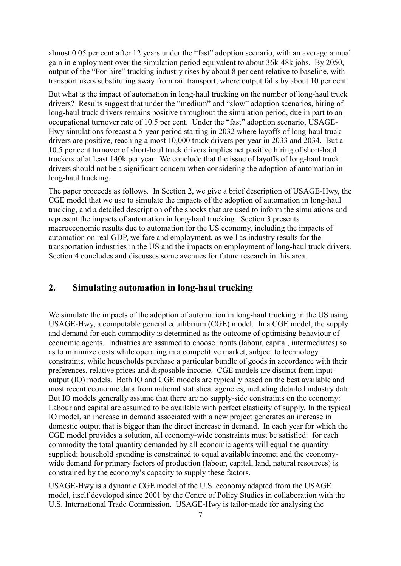almost 0.05 per cent after 12 years under the "fast" adoption scenario, with an average annual gain in employment over the simulation period equivalent to about 36k-48k jobs. By 2050, output of the "For-hire" trucking industry rises by about 8 per cent relative to baseline, with transport users substituting away from rail transport, where output falls by about 10 per cent.

But what is the impact of automation in long-haul trucking on the number of long-haul truck drivers? Results suggest that under the "medium" and "slow" adoption scenarios, hiring of long-haul truck drivers remains positive throughout the simulation period, due in part to an occupational turnover rate of 10.5 per cent. Under the "fast" adoption scenario, USAGE-Hwy simulations forecast a 5-year period starting in 2032 where layoffs of long-haul truck drivers are positive, reaching almost 10,000 truck drivers per year in 2033 and 2034. But a 10.5 per cent turnover of short-haul truck drivers implies net positive hiring of short-haul truckers of at least 140k per year. We conclude that the issue of layoffs of long-haul truck drivers should not be a significant concern when considering the adoption of automation in long-haul trucking.

The paper proceeds as follows. In Section 2, we give a brief description of USAGE-Hwy, the CGE model that we use to simulate the impacts of the adoption of automation in long-haul trucking, and a detailed description of the shocks that are used to inform the simulations and represent the impacts of automation in long-haul trucking. Section 3 presents macroeconomic results due to automation for the US economy, including the impacts of automation on real GDP, welfare and employment, as well as industry results for the transportation industries in the US and the impacts on employment of long-haul truck drivers. Section 4 concludes and discusses some avenues for future research in this area.

#### <span id="page-6-0"></span>**2. Simulating automation in long-haul trucking**

We simulate the impacts of the adoption of automation in long-haul trucking in the US using USAGE-Hwy, a computable general equilibrium (CGE) model. In a CGE model, the supply and demand for each commodity is determined as the outcome of optimising behaviour of economic agents. Industries are assumed to choose inputs (labour, capital, intermediates) so as to minimize costs while operating in a competitive market, subject to technology constraints, while households purchase a particular bundle of goods in accordance with their preferences, relative prices and disposable income. CGE models are distinct from inputoutput (IO) models. Both IO and CGE models are typically based on the best available and most recent economic data from national statistical agencies, including detailed industry data. But IO models generally assume that there are no supply-side constraints on the economy: Labour and capital are assumed to be available with perfect elasticity of supply. In the typical IO model, an increase in demand associated with a new project generates an increase in domestic output that is bigger than the direct increase in demand. In each year for which the CGE model provides a solution, all economy-wide constraints must be satisfied: for each commodity the total quantity demanded by all economic agents will equal the quantity supplied; household spending is constrained to equal available income; and the economywide demand for primary factors of production (labour, capital, land, natural resources) is constrained by the economy's capacity to supply these factors.

USAGE-Hwy is a dynamic CGE model of the U.S. economy adapted from the USAGE model, itself developed since 2001 by the Centre of Policy Studies in collaboration with the U.S. International Trade Commission. USAGE-Hwy is tailor-made for analysing the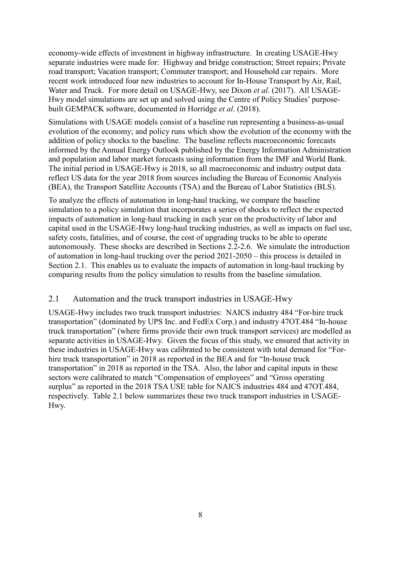economy-wide effects of investment in highway infrastructure. In creating USAGE-Hwy separate industries were made for: Highway and bridge construction; Street repairs; Private road transport; Vacation transport; Commuter transport; and Household car repairs. More recent work introduced four new industries to account for In-House Transport by Air, Rail, Water and Truck. For more detail on USAGE-Hwy, see Dixon *et al*. (2017). All USAGE-Hwy model simulations are set up and solved using the Centre of Policy Studies' purposebuilt GEMPACK software, documented in Horridge *et al*. (2018).

Simulations with USAGE models consist of a baseline run representing a business-as-usual evolution of the economy; and policy runs which show the evolution of the economy with the addition of policy shocks to the baseline. The baseline reflects macroeconomic forecasts informed by the Annual Energy Outlook published by the Energy Information Administration and population and labor market forecasts using information from the IMF and World Bank. The initial period in USAGE-Hwy is 2018, so all macroeconomic and industry output data reflect US data for the year 2018 from sources including the Bureau of Economic Analysis (BEA), the Transport Satellite Accounts (TSA) and the Bureau of Labor Statistics (BLS).

To analyze the effects of automation in long-haul trucking, we compare the baseline simulation to a policy simulation that incorporates a series of shocks to reflect the expected impacts of automation in long-haul trucking in each year on the productivity of labor and capital used in the USAGE-Hwy long-haul trucking industries, as well as impacts on fuel use, safety costs, fatalities, and of course, the cost of upgrading trucks to be able to operate autonomously. These shocks are described in Sections 2.2-2.6. We simulate the introduction of automation in long-haul trucking over the period 2021-2050 – this process is detailed in Section 2.1. This enables us to evaluate the impacts of automation in long-haul trucking by comparing results from the policy simulation to results from the baseline simulation.

#### <span id="page-7-0"></span>2.1 Automation and the truck transport industries in USAGE-Hwy

USAGE-Hwy includes two truck transport industries: NAICS industry 484 "For-hire truck transportation" (dominated by UPS Inc. and FedEx Corp.) and industry 47OT.484 "In-house truck transportation" (where firms provide their own truck transport services) are modelled as separate activities in USAGE-Hwy. Given the focus of this study, we ensured that activity in these industries in USAGE-Hwy was calibrated to be consistent with total demand for "Forhire truck transportation" in 2018 as reported in the BEA and for "In-house truck transportation" in 2018 as reported in the TSA. Also, the labor and capital inputs in these sectors were calibrated to match "Compensation of employees" and "Gross operating surplus" as reported in the 2018 TSA USE table for NAICS industries 484 and 47OT.484, respectively. Table 2.1 below summarizes these two truck transport industries in USAGE-Hwy.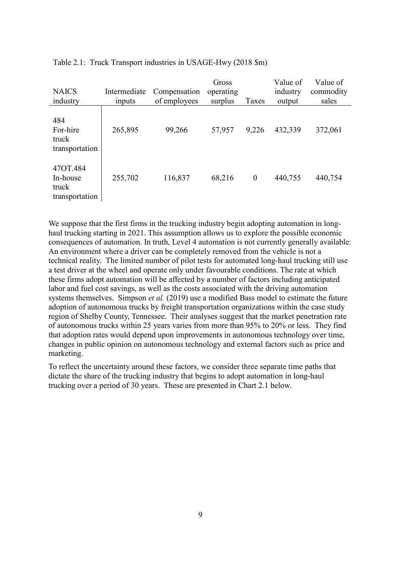| <b>NAICS</b><br>industry                        | Intermediate<br>inputs | Compensation<br>of employees | Gross<br>operating<br>surplus | Taxes    | Value of<br>industry<br>output | Value of<br>commodity<br>sales |
|-------------------------------------------------|------------------------|------------------------------|-------------------------------|----------|--------------------------------|--------------------------------|
| 484<br>For-hire<br>truck<br>transportation      | 265,895                | 99,266                       | 57,957                        | 9,226    | 432,339                        | 372,061                        |
| 47OT.484<br>In-house<br>truck<br>transportation | 255,702                | 116,837                      | 68,216                        | $\bf{0}$ | 440,755                        | 440,754                        |

Table 2.1: Truck Transport industries in USAGE-Hwy (2018 \$m)

We suppose that the first firms in the trucking industry begin adopting automation in longhaul trucking starting in 2021. This assumption allows us to explore the possible economic consequences of automation. In truth, Level 4 automation is not currently generally available: An environment where a driver can be completely removed from the vehicle is not a technical reality. The limited number of pilot tests for automated long-haul trucking still use a test driver at the wheel and operate only under favourable conditions. The rate at which these firms adopt automation will be affected by a number of factors including anticipated labor and fuel cost savings, as well as the costs associated with the driving automation systems themselves. Simpson *et al.* (2019) use a modified Bass model to estimate the future adoption of autonomous trucks by freight transportation organizations within the case study region of Shelby County, Tennessee. Their analyses suggest that the market penetration rate of autonomous trucks within 25 years varies from more than 95% to 20% or less. They find that adoption rates would depend upon improvements in autonomous technology over time, changes in public opinion on autonomous technology and external factors such as price and marketing.

To reflect the uncertainty around these factors, we consider three separate time paths that dictate the share of the trucking industry that begins to adopt automation in long-haul trucking over a period of 30 years. These are presented in Chart 2.1 below.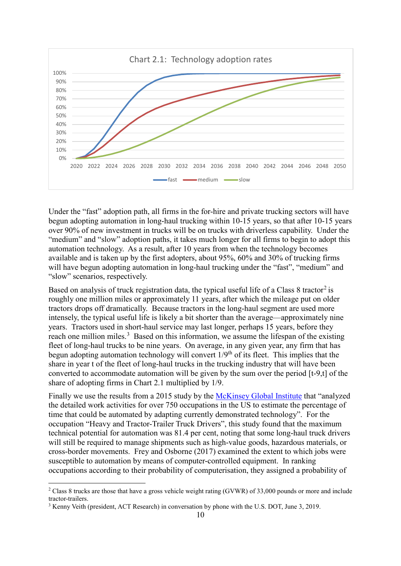

Under the "fast" adoption path, all firms in the for-hire and private trucking sectors will have begun adopting automation in long-haul trucking within 10-15 years, so that after 10-15 years over 90% of new investment in trucks will be on trucks with driverless capability. Under the "medium" and "slow" adoption paths, it takes much longer for all firms to begin to adopt this automation technology. As a result, after 10 years from when the technology becomes available and is taken up by the first adopters, about 95%, 60% and 30% of trucking firms will have begun adopting automation in long-haul trucking under the "fast", "medium" and "slow" scenarios, respectively.

Based on analysis of truck registration data, the typical useful life of a Class 8 tractor<sup>[2](#page-9-0)</sup> is roughly one million miles or approximately 11 years, after which the mileage put on older tractors drops off dramatically. Because tractors in the long-haul segment are used more intensely, the typical useful life is likely a bit shorter than the average—approximately nine years. Tractors used in short-haul service may last longer, perhaps 15 years, before they reach one million miles.<sup>[3](#page-9-1)</sup> Based on this information, we assume the lifespan of the existing fleet of long-haul trucks to be nine years. On average, in any given year, any firm that has begun adopting automation technology will convert 1/9<sup>th</sup> of its fleet. This implies that the share in year t of the fleet of long-haul trucks in the trucking industry that will have been converted to accommodate automation will be given by the sum over the period [t-9,t] of the share of adopting firms in Chart 2.1 multiplied by 1/9.

Finally we use the results from a 2015 study by the [McKinsey Global Institute](https://public.tableau.com/profile/mckinsey.analytics#!/vizhome/AutomationandUSjobs/Technicalpotentialforautomation) that "analyzed the detailed work activities for over 750 occupations in the US to estimate the percentage of time that could be automated by adapting currently demonstrated technology". For the occupation "Heavy and Tractor-Trailer Truck Drivers", this study found that the maximum technical potential for automation was 81.4 per cent, noting that some long-haul truck drivers will still be required to manage shipments such as high-value goods, hazardous materials, or cross-border movements. Frey and Osborne (2017) examined the extent to which jobs were susceptible to automation by means of computer-controlled equipment. In ranking occupations according to their probability of computerisation, they assigned a probability of

<u>.</u>

<span id="page-9-0"></span><sup>&</sup>lt;sup>2</sup> Class 8 trucks are those that have a gross vehicle weight rating (GVWR) of 33,000 pounds or more and include tractor-trailers.<br><sup>3</sup> Kenny Veith (president, ACT Research) in conversation by phone with the U.S. DOT, June 3, 2019.

<span id="page-9-1"></span>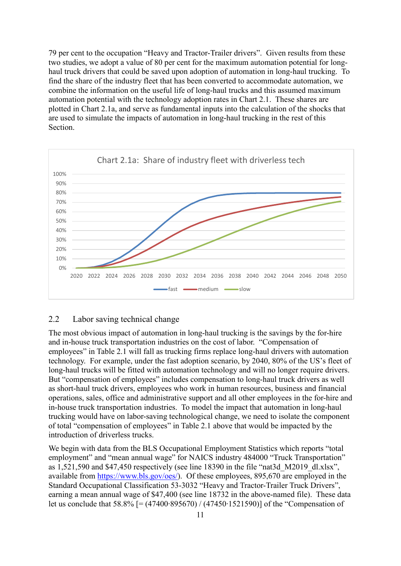79 per cent to the occupation "Heavy and Tractor-Trailer drivers". Given results from these two studies, we adopt a value of 80 per cent for the maximum automation potential for longhaul truck drivers that could be saved upon adoption of automation in long-haul trucking. To find the share of the industry fleet that has been converted to accommodate automation, we combine the information on the useful life of long-haul trucks and this assumed maximum automation potential with the technology adoption rates in Chart 2.1. These shares are plotted in Chart 2.1a, and serve as fundamental inputs into the calculation of the shocks that are used to simulate the impacts of automation in long-haul trucking in the rest of this Section.



#### <span id="page-10-0"></span>2.2 Labor saving technical change

The most obvious impact of automation in long-haul trucking is the savings by the for-hire and in-house truck transportation industries on the cost of labor. "Compensation of employees" in Table 2.1 will fall as trucking firms replace long-haul drivers with automation technology. For example, under the fast adoption scenario, by 2040, 80% of the US's fleet of long-haul trucks will be fitted with automation technology and will no longer require drivers. But "compensation of employees" includes compensation to long-haul truck drivers as well as short-haul truck drivers, employees who work in human resources, business and financial operations, sales, office and administrative support and all other employees in the for-hire and in-house truck transportation industries. To model the impact that automation in long-haul trucking would have on labor-saving technological change, we need to isolate the component of total "compensation of employees" in Table 2.1 above that would be impacted by the introduction of driverless trucks.

We begin with data from the BLS Occupational Employment Statistics which reports "total employment" and "mean annual wage" for NAICS industry 484000 "Truck Transportation" as 1,521,590 and \$47,450 respectively (see line 18390 in the file "nat3d\_M2019\_dl.xlsx", available from [https://www.bls.gov/oes/\)](https://www.bls.gov/oes/). Of these employees, 895,670 are employed in the Standard Occupational Classification 53-3032 "Heavy and Tractor-Trailer Truck Drivers", earning a mean annual wage of \$47,400 (see line 18732 in the above-named file). These data let us conclude that 58.8% [= (47400∙895670) / (47450∙1521590)] of the "Compensation of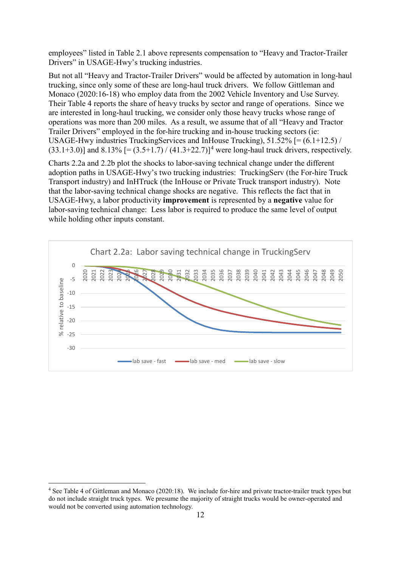employees" listed in Table 2.1 above represents compensation to "Heavy and Tractor-Trailer Drivers" in USAGE-Hwy's trucking industries.

But not all "Heavy and Tractor-Trailer Drivers" would be affected by automation in long-haul trucking, since only some of these are long-haul truck drivers. We follow Gittleman and Monaco (2020:16-18) who employ data from the 2002 Vehicle Inventory and Use Survey. Their Table 4 reports the share of heavy trucks by sector and range of operations. Since we are interested in long-haul trucking, we consider only those heavy trucks whose range of operations was more than 200 miles. As a result, we assume that of all "Heavy and Tractor Trailer Drivers" employed in the for-hire trucking and in-house trucking sectors (ie: USAGE-Hwy industries TruckingServices and InHouse Trucking), 51.52% [= (6.1+12.5) /  $(33.1+3.0)$ ] and  $8.13\%$  [=  $(3.5+1.7)/(41.3+22.7)$  $(3.5+1.7)/(41.3+22.7)$  $(3.5+1.7)/(41.3+22.7)$ ]<sup>4</sup> were long-haul truck drivers, respectively.

Charts 2.2a and 2.2b plot the shocks to labor-saving technical change under the different adoption paths in USAGE-Hwy's two trucking industries: TruckingServ (the For-hire Truck Transport industry) and InHTruck (the InHouse or Private Truck transport industry). Note that the labor-saving technical change shocks are negative. This reflects the fact that in USAGE-Hwy, a labor productivity **improvement** is represented by a **negative** value for labor-saving technical change: Less labor is required to produce the same level of output while holding other inputs constant.



<span id="page-11-0"></span> <sup>4</sup> See Table 4 of Gittleman and Monaco (2020:18). We include for-hire and private tractor-trailer truck types but do not include straight truck types. We presume the majority of straight trucks would be owner-operated and would not be converted using automation technology.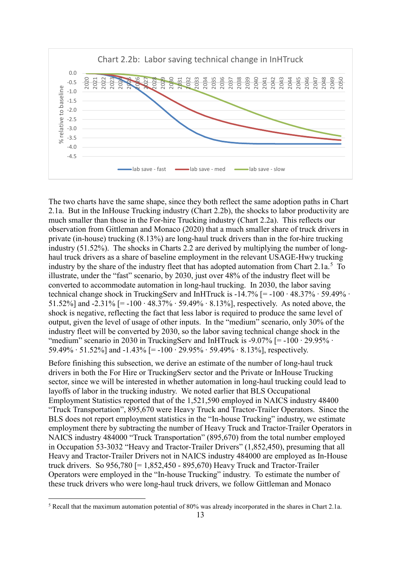

The two charts have the same shape, since they both reflect the same adoption paths in Chart 2.1a. But in the InHouse Trucking industry (Chart 2.2b), the shocks to labor productivity are much smaller than those in the For-hire Trucking industry (Chart 2.2a). This reflects our observation from Gittleman and Monaco (2020) that a much smaller share of truck drivers in private (in-house) trucking (8.13%) are long-haul truck drivers than in the for-hire trucking industry (51.52%). The shocks in Charts 2.2 are derived by multiplying the number of longhaul truck drivers as a share of baseline employment in the relevant USAGE-Hwy trucking industry by the share of the industry fleet that has adopted automation from Chart 2.1a.<sup>[5](#page-12-0)</sup> To illustrate, under the "fast" scenario, by 2030, just over 48% of the industry fleet will be converted to accommodate automation in long-haul trucking. In 2030, the labor saving technical change shock in TruckingServ and InHTruck is -14.7% [= -100 ∙ 48.37% ∙ 59.49% ∙ 51.52%] and -2.31% [= -100 ∙ 48.37% ∙ 59.49% ∙ 8.13%], respectively. As noted above, the shock is negative, reflecting the fact that less labor is required to produce the same level of output, given the level of usage of other inputs. In the "medium" scenario, only 30% of the industry fleet will be converted by 2030, so the labor saving technical change shock in the "medium" scenario in 2030 in TruckingServ and InHTruck is -9.07% [= -100  $\cdot$  29.95%  $\cdot$ 59.49% ∙ 51.52%] and -1.43% [= -100 ∙ 29.95% ∙ 59.49% ∙ 8.13%], respectively.

Before finishing this subsection, we derive an estimate of the number of long-haul truck drivers in both the For Hire or TruckingServ sector and the Private or InHouse Trucking sector, since we will be interested in whether automation in long-haul trucking could lead to layoffs of labor in the trucking industry. We noted earlier that BLS Occupational Employment Statistics reported that of the 1,521,590 employed in NAICS industry 48400 "Truck Transportation", 895,670 were Heavy Truck and Tractor-Trailer Operators. Since the BLS does not report employment statistics in the "In-house Trucking" industry, we estimate employment there by subtracting the number of Heavy Truck and Tractor-Trailer Operators in NAICS industry 484000 "Truck Transportation" (895,670) from the total number employed in Occupation 53-3032 "Heavy and Tractor-Trailer Drivers" (1,852,450), presuming that all Heavy and Tractor-Trailer Drivers not in NAICS industry 484000 are employed as In-House truck drivers. So 956,780 [= 1,852,450 - 895,670) Heavy Truck and Tractor-Trailer Operators were employed in the "In-house Trucking" industry. To estimate the number of these truck drivers who were long-haul truck drivers, we follow Gittleman and Monaco

<span id="page-12-0"></span> <sup>5</sup> Recall that the maximum automation potential of 80% was already incorporated in the shares in Chart 2.1a.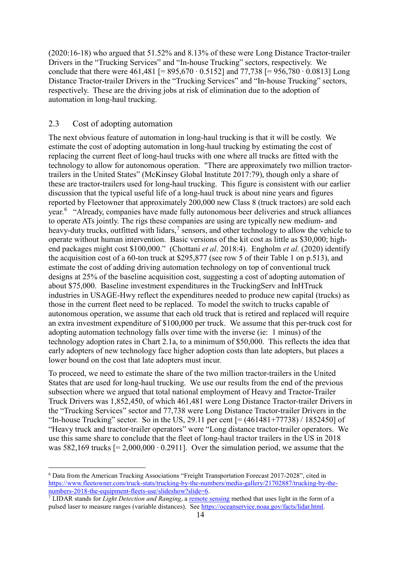(2020:16-18) who argued that 51.52% and 8.13% of these were Long Distance Tractor-trailer Drivers in the "Trucking Services" and "In-house Trucking" sectors, respectively. We conclude that there were 461,481 [= 895,670 ⋅ 0.5152] and 77,738 [= 956,780 ⋅ 0.0813] Long Distance Tractor-trailer Drivers in the "Trucking Services" and "In-house Trucking" sectors, respectively. These are the driving jobs at risk of elimination due to the adoption of automation in long-haul trucking.

#### <span id="page-13-0"></span>2.3 Cost of adopting automation

<u>.</u>

The next obvious feature of automation in long-haul trucking is that it will be costly. We estimate the cost of adopting automation in long-haul trucking by estimating the cost of replacing the current fleet of long-haul trucks with one where all trucks are fitted with the technology to allow for autonomous operation. "There are approximately two million tractortrailers in the United States" (McKinsey Global Institute 2017:79), though only a share of these are tractor-trailers used for long-haul trucking. This figure is consistent with our earlier discussion that the typical useful life of a long-haul truck is about nine years and figures reported by Fleetowner that approximately 200,000 new Class 8 (truck tractors) are sold each year.<sup>[6](#page-13-1)</sup> "Already, companies have made fully autonomous beer deliveries and struck alliances to operate ATs jointly. The rigs these companies are using are typically new medium- and heavy-duty trucks, outfitted with lidars, $^7$  $^7$  sensors, and other technology to allow the vehicle to operate without human intervention. Basic versions of the kit cost as little as \$30,000; highend packages might cost \$100,000." (Chottani *et al*. 2018:4). Engholm *et al.* (2020) identify the acquisition cost of a 60-ton truck at \$295,877 (see row 5 of their Table 1 on p.513), and estimate the cost of adding driving automation technology on top of conventional truck designs at 25% of the baseline acquisition cost, suggesting a cost of adopting automation of about \$75,000. Baseline investment expenditures in the TruckingServ and InHTruck industries in USAGE-Hwy reflect the expenditures needed to produce new capital (trucks) as those in the current fleet need to be replaced. To model the switch to trucks capable of autonomous operation, we assume that each old truck that is retired and replaced will require an extra investment expenditure of \$100,000 per truck. We assume that this per-truck cost for adopting automation technology falls over time with the inverse (ie: 1 minus) of the technology adoption rates in Chart 2.1a, to a minimum of \$50,000. This reflects the idea that early adopters of new technology face higher adoption costs than late adopters, but places a lower bound on the cost that late adopters must incur.

To proceed, we need to estimate the share of the two million tractor-trailers in the United States that are used for long-haul trucking. We use our results from the end of the previous subsection where we argued that total national employment of Heavy and Tractor-Trailer Truck Drivers was 1,852,450, of which 461,481 were Long Distance Tractor-trailer Drivers in the "Trucking Services" sector and 77,738 were Long Distance Tractor-trailer Drivers in the "In-house Trucking" sector. So in the US, 29.11 per cent  $[=(461481+77738)/1852450]$  of "Heavy truck and tractor-trailer operators" were "Long distance tractor-trailer operators. We use this same share to conclude that the fleet of long-haul tractor trailers in the US in 2018 was 582,169 trucks  $[= 2,000,000 \cdot 0.2911]$ . Over the simulation period, we assume that the

<span id="page-13-1"></span><sup>6</sup> Data from the American Trucking Associations "Freight Transportation Forecast 2017-2028", cited in [https://www.fleetowner.com/truck-stats/trucking-by-the-numbers/media-gallery/21702887/trucking-by-the](https://www.fleetowner.com/truck-stats/trucking-by-the-numbers/media-gallery/21702887/trucking-by-the-numbers-2018-the-equipment-fleets-use/slideshow?slide=6)[numbers-2018-the-equipment-fleets-use/slideshow?slide=6.](https://www.fleetowner.com/truck-stats/trucking-by-the-numbers/media-gallery/21702887/trucking-by-the-numbers-2018-the-equipment-fleets-use/slideshow?slide=6)<br><sup>7</sup> LIDAR stands for *Light Detection and Ranging*, a <u>remote sensing</u> method that uses light in the form of a

<span id="page-13-2"></span>pulsed laser to measure ranges (variable distances). See [https://oceanservice.noaa.gov/facts/lidar.html.](https://oceanservice.noaa.gov/facts/lidar.html)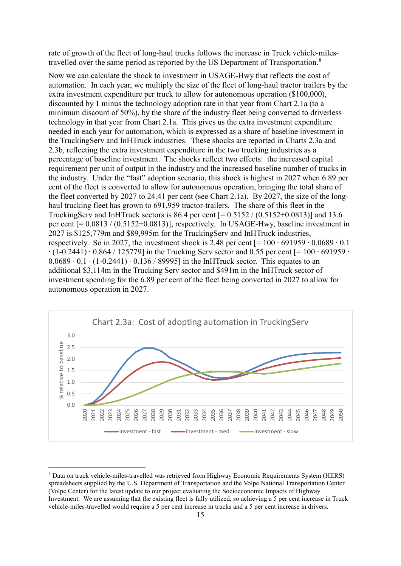rate of growth of the fleet of long-haul trucks follows the increase in Truck vehicle-miles-travelled over the same period as reported by the US Department of Transportation.<sup>[8](#page-14-0)</sup>

Now we can calculate the shock to investment in USAGE-Hwy that reflects the cost of automation. In each year, we multiply the size of the fleet of long-haul tractor trailers by the extra investment expenditure per truck to allow for autonomous operation (\$100,000), discounted by 1 minus the technology adoption rate in that year from Chart 2.1a (to a minimum discount of 50%), by the share of the industry fleet being converted to driverless technology in that year from Chart 2.1a. This gives us the extra investment expenditure needed in each year for automation, which is expressed as a share of baseline investment in the TruckingServ and InHTruck industries. These shocks are reported in Charts 2.3a and 2.3b, reflecting the extra investment expenditure in the two trucking industries as a percentage of baseline investment. The shocks reflect two effects: the increased capital requirement per unit of output in the industry and the increased baseline number of trucks in the industry. Under the "fast" adoption scenario, this shock is highest in 2027 when 6.89 per cent of the fleet is converted to allow for autonomous operation, bringing the total share of the fleet converted by 2027 to 24.41 per cent (see Chart 2.1a). By 2027, the size of the longhaul trucking fleet has grown to 691,959 tractor-trailers. The share of this fleet in the TruckingServ and InHTruck sectors is 86.4 per cent  $[= 0.5152 / (0.5152 + 0.0813)]$  and 13.6 per cent [= 0.0813 / (0.5152+0.0813)], respectively. In USAGE-Hwy, baseline investment in 2027 is \$125,779m and \$89,995m for the TruckingServ and InHTruck industries, respectively. So in 2027, the investment shock is 2.48 per cent  $[= 100 \cdot 691959 \cdot 0.0689 \cdot 0.1]$  $\cdot$  (1-0.2441)  $\cdot$  0.864 / 125779] in the Trucking Serv sector and 0.55 per cent [= 100  $\cdot$  691959  $\cdot$ 0.0689 ∙ 0.1 ∙ (1-0.2441) ∙ 0.136 / 89995] in the InHTruck sector. This equates to an additional \$3,114m in the Trucking Serv sector and \$491m in the InHTruck sector of investment spending for the 6.89 per cent of the fleet being converted in 2027 to allow for autonomous operation in 2027.



<span id="page-14-0"></span> <sup>8</sup> Data on truck vehicle-miles-travelled was retrieved from Highway Economic Requirements System (HERS) spreadsheets supplied by the U.S. Department of Transportation and the Volpe National Transportation Center (Volpe Center) for the latest update to our project evaluating the Socioeconomic Impacts of Highway Investment. We are assuming that the existing fleet is fully utilized, so achieving a 5 per cent increase in Truck vehicle-miles-travelled would require a 5 per cent increase in trucks and a 5 per cent increase in drivers.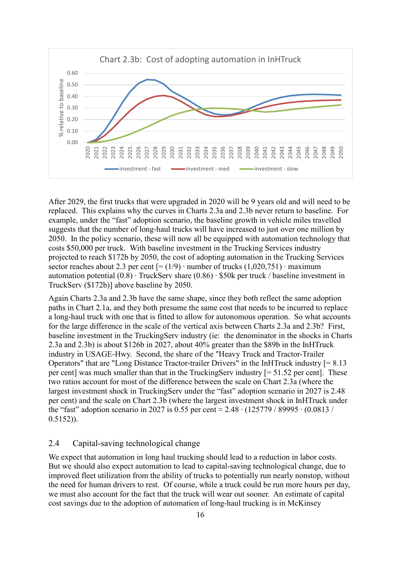

After 2029, the first trucks that were upgraded in 2020 will be 9 years old and will need to be replaced. This explains why the curves in Charts 2.3a and 2.3b never return to baseline. For example, under the "fast" adoption scenario, the baseline growth in vehicle miles travelled suggests that the number of long-haul trucks will have increased to just over one million by 2050. In the policy scenario, these will now all be equipped with automation technology that costs \$50,000 per truck. With baseline investment in the Trucking Services industry projected to reach \$172b by 2050, the cost of adopting automation in the Trucking Services sector reaches about 2.3 per cent  $[=(1/9) \cdot$  number of trucks  $(1,020,751) \cdot$  maximum automation potential (0.8) ∙ TruckServ share (0.86) ∙ \$50k per truck / baseline investment in TruckServ (\$172b)] above baseline by 2050.

Again Charts 2.3a and 2.3b have the same shape, since they both reflect the same adoption paths in Chart 2.1a, and they both presume the same cost that needs to be incurred to replace a long-haul truck with one that is fitted to allow for autonomous operation. So what accounts for the large difference in the scale of the vertical axis between Charts 2.3a and 2.3b? First, baseline investment in the TruckingServ industry (ie: the denominator in the shocks in Charts 2.3a and 2.3b) is about \$126b in 2027, about 40% greater than the \$89b in the InHTruck industry in USAGE-Hwy. Second, the share of the "Heavy Truck and Tractor-Trailer Operators" that are "Long Distance Tractor-trailer Drivers" in the InHTruck industry [= 8.13 per cent] was much smaller than that in the TruckingServ industry [= 51.52 per cent]. These two ratios account for most of the difference between the scale on Chart 2.3a (where the largest investment shock in TruckingServ under the "fast" adoption scenario in 2027 is 2.48 per cent) and the scale on Chart 2.3b (where the largest investment shock in InHTruck under the "fast" adoption scenario in 2027 is 0.55 per cent ≈ 2.48 ∙ (125779 / 89995 ∙ (0.0813 / 0.5152)).

#### <span id="page-15-0"></span>2.4 Capital-saving technological change

We expect that automation in long haul trucking should lead to a reduction in labor costs. But we should also expect automation to lead to capital-saving technological change, due to improved fleet utilization from the ability of trucks to potentially run nearly nonstop, without the need for human drivers to rest. Of course, while a truck could be run more hours per day, we must also account for the fact that the truck will wear out sooner. An estimate of capital cost savings due to the adoption of automation of long-haul trucking is in McKinsey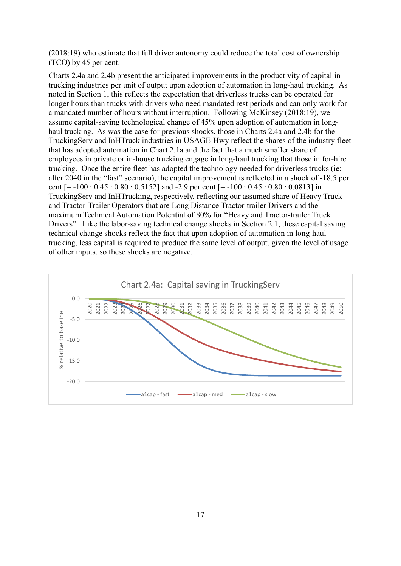(2018:19) who estimate that full driver autonomy could reduce the total cost of ownership (TCO) by 45 per cent.

Charts 2.4a and 2.4b present the anticipated improvements in the productivity of capital in trucking industries per unit of output upon adoption of automation in long-haul trucking. As noted in Section 1, this reflects the expectation that driverless trucks can be operated for longer hours than trucks with drivers who need mandated rest periods and can only work for a mandated number of hours without interruption. Following McKinsey (2018:19), we assume capital-saving technological change of 45% upon adoption of automation in longhaul trucking. As was the case for previous shocks, those in Charts 2.4a and 2.4b for the TruckingServ and InHTruck industries in USAGE-Hwy reflect the shares of the industry fleet that has adopted automation in Chart 2.1a and the fact that a much smaller share of employees in private or in-house trucking engage in long-haul trucking that those in for-hire trucking. Once the entire fleet has adopted the technology needed for driverless trucks (ie: after 2040 in the "fast" scenario), the capital improvement is reflected in a shock of -18.5 per cent [= -100 ⋅ 0.45 ⋅ 0.80 ⋅ 0.5152] and -2.9 per cent [= -100 ⋅ 0.45 ⋅ 0.80 ⋅ 0.0813] in TruckingServ and InHTrucking, respectively, reflecting our assumed share of Heavy Truck and Tractor-Trailer Operators that are Long Distance Tractor-trailer Drivers and the maximum Technical Automation Potential of 80% for "Heavy and Tractor-trailer Truck Drivers". Like the labor-saving technical change shocks in Section 2.1, these capital saving technical change shocks reflect the fact that upon adoption of automation in long-haul trucking, less capital is required to produce the same level of output, given the level of usage of other inputs, so these shocks are negative.

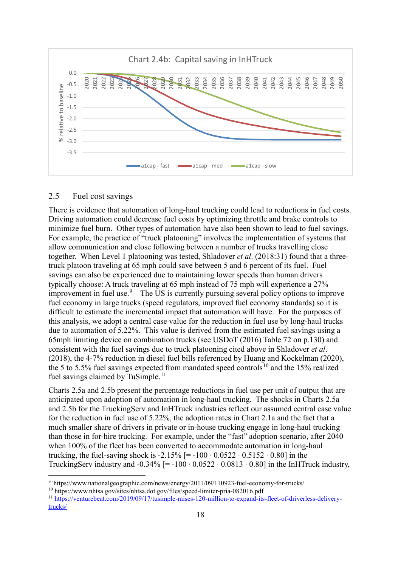

#### <span id="page-17-0"></span>2.5 Fuel cost savings

-

There is evidence that automation of long-haul trucking could lead to reductions in fuel costs. Driving automation could decrease fuel costs by optimizing throttle and brake controls to minimize fuel burn. Other types of automation have also been shown to lead to fuel savings. For example, the practice of "truck platooning" involves the implementation of systems that allow communication and close following between a number of trucks travelling close together. When Level 1 platooning was tested, Shladover *et al*. (2018:31) found that a threetruck platoon traveling at 65 mph could save between 5 and 6 percent of its fuel. Fuel savings can also be experienced due to maintaining lower speeds than human drivers typically choose: A truck traveling at 65 mph instead of 75 mph will experience a 27% improvement in fuel use.<sup>[9](#page-17-1)</sup> The US is currently pursuing several policy options to improve fuel economy in large trucks (speed regulators, improved fuel economy standards) so it is difficult to estimate the incremental impact that automation will have. For the purposes of this analysis, we adopt a central case value for the reduction in fuel use by long-haul trucks due to automation of 5.22%. This value is derived from the estimated fuel savings using a 65mph limiting device on combination trucks (see USDoT (2016) Table 72 on p.130) and consistent with the fuel savings due to truck platooning cited above in Shladover *et al*. (2018), the 4-7% reduction in diesel fuel bills referenced by Huang and Kockelman (2020), the 5 to 5.5% fuel savings expected from mandated speed controls<sup>10</sup> and the 15% realized fuel savings claimed by TuSimple.<sup>[11](#page-17-3)</sup>

Charts 2.5a and 2.5b present the percentage reductions in fuel use per unit of output that are anticipated upon adoption of automation in long-haul trucking. The shocks in Charts 2.5a and 2.5b for the TruckingServ and InHTruck industries reflect our assumed central case value for the reduction in fuel use of 5.22%, the adoption rates in Chart 2.1a and the fact that a much smaller share of drivers in private or in-house trucking engage in long-haul trucking than those in for-hire trucking. For example, under the "fast" adoption scenario, after 2040 when 100% of the fleet has been converted to accommodate automation in long-haul trucking, the fuel-saving shock is -2.15% [= -100 ⋅ 0.0522 ⋅ 0.5152 ⋅ 0.80] in the TruckingServ industry and -0.34% [= -100 ⋅ 0.0522 ⋅ 0.0813 ⋅ 0.80] in the InHTruck industry,

<span id="page-17-1"></span><sup>9</sup> 'https://www.nationalgeographic.com/news/energy/2011/09/110923-fuel-economy-for-trucks/

<span id="page-17-2"></span><sup>10</sup> https://www.nhtsa.gov/sites/nhtsa.dot.gov/files/speed-limiter-pria-082016.pdf

<span id="page-17-3"></span><sup>11</sup> [https://venturebeat.com/2019/09/17/tusimple-raises-120-million-to-expand-its-fleet-of-driverless-delivery](https://venturebeat.com/2019/09/17/tusimple-raises-120-million-to-expand-its-fleet-of-driverless-delivery-trucks/)[trucks/](https://venturebeat.com/2019/09/17/tusimple-raises-120-million-to-expand-its-fleet-of-driverless-delivery-trucks/)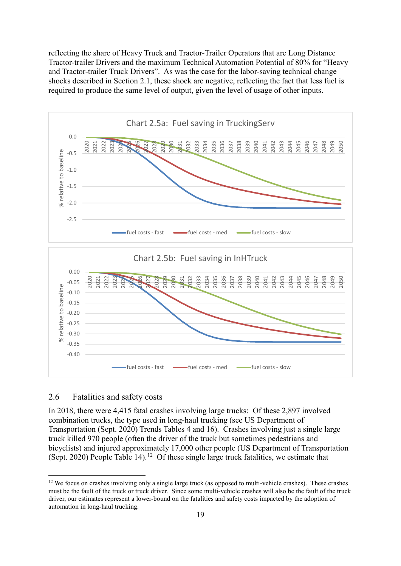reflecting the share of Heavy Truck and Tractor-Trailer Operators that are Long Distance Tractor-trailer Drivers and the maximum Technical Automation Potential of 80% for "Heavy and Tractor-trailer Truck Drivers". As was the case for the labor-saving technical change shocks described in Section 2.1, these shock are negative, reflecting the fact that less fuel is required to produce the same level of output, given the level of usage of other inputs.



#### <span id="page-18-0"></span>2.6 Fatalities and safety costs

In 2018, there were 4,415 fatal crashes involving large trucks: Of these 2,897 involved combination trucks, the type used in long-haul trucking (see US Department of Transportation (Sept. 2020) Trends Tables 4 and 16). Crashes involving just a single large truck killed 970 people (often the driver of the truck but sometimes pedestrians and bicyclists) and injured approximately 17,000 other people (US Department of Transportation (Sept. 2020) People Table 14).<sup>12</sup> Of these single large truck fatalities, we estimate that

<span id="page-18-1"></span> $12$  We focus on crashes involving only a single large truck (as opposed to multi-vehicle crashes). These crashes must be the fault of the truck or truck driver. Since some multi-vehicle crashes will also be the fault of the truck driver, our estimates represent a lower-bound on the fatalities and safety costs impacted by the adoption of automation in long-haul trucking.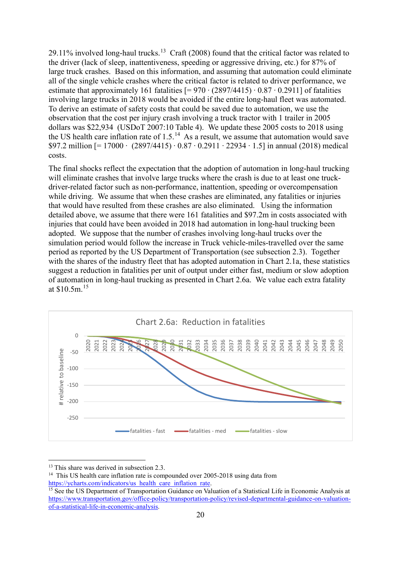29.11% involved long-haul trucks.<sup>[13](#page-19-0)</sup> Craft (2008) found that the critical factor was related to the driver (lack of sleep, inattentiveness, speeding or aggressive driving, etc.) for 87% of large truck crashes. Based on this information, and assuming that automation could eliminate all of the single vehicle crashes where the critical factor is related to driver performance, we estimate that approximately 161 fatalities  $[= 970 \cdot (2897/4415) \cdot 0.87 \cdot 0.2911]$  of fatalities involving large trucks in 2018 would be avoided if the entire long-haul fleet was automated. To derive an estimate of safety costs that could be saved due to automation, we use the observation that the cost per injury crash involving a truck tractor with 1 trailer in 2005 dollars was \$22,934 (USDoT 2007:10 Table 4). We update these 2005 costs to 2018 using the US health care inflation rate of  $1.5<sup>14</sup>$  As a result, we assume that automation would save \$97.2 million [= 17000 ∙ (2897/4415) ∙ 0.87 ∙ 0.2911 ∙ 22934 ∙ 1.5] in annual (2018) medical costs.

The final shocks reflect the expectation that the adoption of automation in long-haul trucking will eliminate crashes that involve large trucks where the crash is due to at least one truckdriver-related factor such as non-performance, inattention, speeding or overcompensation while driving. We assume that when these crashes are eliminated, any fatalities or injuries that would have resulted from these crashes are also eliminated. Using the information detailed above, we assume that there were 161 fatalities and \$97.2m in costs associated with injuries that could have been avoided in 2018 had automation in long-haul trucking been adopted. We suppose that the number of crashes involving long-haul trucks over the simulation period would follow the increase in Truck vehicle-miles-travelled over the same period as reported by the US Department of Transportation (see subsection 2.3). Together with the shares of the industry fleet that has adopted automation in Chart 2.1a, these statistics suggest a reduction in fatalities per unit of output under either fast, medium or slow adoption of automation in long-haul trucking as presented in Chart 2.6a. We value each extra fatality at \$10.5m.[15](#page-19-2)



<u>.</u>

<span id="page-19-1"></span><span id="page-19-0"></span><sup>13</sup> This share was derived in subsection 2.3.<br><sup>14</sup> This US health care inflation rate is compounded over 2005-2018 using data from<br>https://ycharts.com/indicators/us health care inflation rate.

<span id="page-19-2"></span> $\frac{15}{15}$  See the US Department of Transportation Guidance on Valuation of a Statistical Life in Economic Analysis at [https://www.transportation.gov/office-policy/transportation-policy/revised-departmental-guidance-on-valuation](https://www.transportation.gov/office-policy/transportation-policy/revised-departmental-guidance-on-valuation-of-a-statistical-life-in-economic-analysis)[of-a-statistical-life-in-economic-analysis.](https://www.transportation.gov/office-policy/transportation-policy/revised-departmental-guidance-on-valuation-of-a-statistical-life-in-economic-analysis)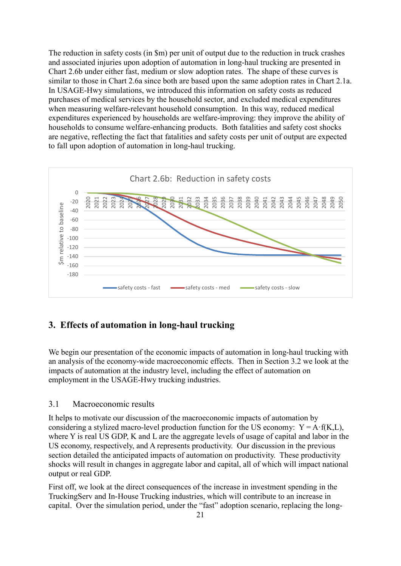The reduction in safety costs (in \$m) per unit of output due to the reduction in truck crashes and associated injuries upon adoption of automation in long-haul trucking are presented in Chart 2.6b under either fast, medium or slow adoption rates. The shape of these curves is similar to those in Chart 2.6a since both are based upon the same adoption rates in Chart 2.1a. In USAGE-Hwy simulations, we introduced this information on safety costs as reduced purchases of medical services by the household sector, and excluded medical expenditures when measuring welfare-relevant household consumption. In this way, reduced medical expenditures experienced by households are welfare-improving: they improve the ability of households to consume welfare-enhancing products. Both fatalities and safety cost shocks are negative, reflecting the fact that fatalities and safety costs per unit of output are expected to fall upon adoption of automation in long-haul trucking.



#### <span id="page-20-0"></span>**3. Effects of automation in long-haul trucking**

We begin our presentation of the economic impacts of automation in long-haul trucking with an analysis of the economy-wide macroeconomic effects. Then in Section 3.2 we look at the impacts of automation at the industry level, including the effect of automation on employment in the USAGE-Hwy trucking industries.

#### <span id="page-20-1"></span>3.1 Macroeconomic results

It helps to motivate our discussion of the macroeconomic impacts of automation by considering a stylized macro-level production function for the US economy:  $Y = A \cdot f(K, L)$ , where Y is real US GDP, K and L are the aggregate levels of usage of capital and labor in the US economy, respectively, and A represents productivity. Our discussion in the previous section detailed the anticipated impacts of automation on productivity. These productivity shocks will result in changes in aggregate labor and capital, all of which will impact national output or real GDP.

First off, we look at the direct consequences of the increase in investment spending in the TruckingServ and In-House Trucking industries, which will contribute to an increase in capital. Over the simulation period, under the "fast" adoption scenario, replacing the long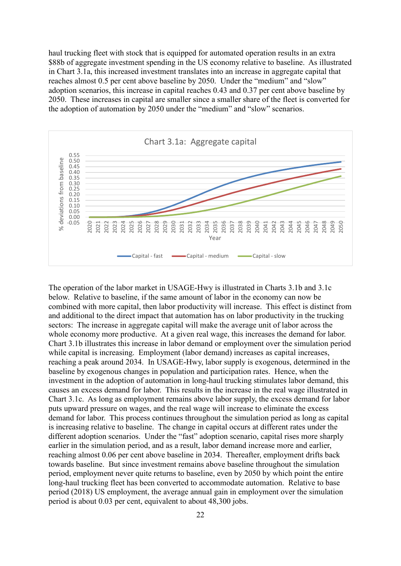haul trucking fleet with stock that is equipped for automated operation results in an extra \$88b of aggregate investment spending in the US economy relative to baseline. As illustrated in Chart 3.1a, this increased investment translates into an increase in aggregate capital that reaches almost 0.5 per cent above baseline by 2050. Under the "medium" and "slow" adoption scenarios, this increase in capital reaches 0.43 and 0.37 per cent above baseline by 2050. These increases in capital are smaller since a smaller share of the fleet is converted for the adoption of automation by 2050 under the "medium" and "slow" scenarios.



The operation of the labor market in USAGE-Hwy is illustrated in Charts 3.1b and 3.1c below. Relative to baseline, if the same amount of labor in the economy can now be combined with more capital, then labor productivity will increase. This effect is distinct from and additional to the direct impact that automation has on labor productivity in the trucking sectors: The increase in aggregate capital will make the average unit of labor across the whole economy more productive. At a given real wage, this increases the demand for labor. Chart 3.1b illustrates this increase in labor demand or employment over the simulation period while capital is increasing. Employment (labor demand) increases as capital increases, reaching a peak around 2034. In USAGE-Hwy, labor supply is exogenous, determined in the baseline by exogenous changes in population and participation rates. Hence, when the investment in the adoption of automation in long-haul trucking stimulates labor demand, this causes an excess demand for labor. This results in the increase in the real wage illustrated in Chart 3.1c. As long as employment remains above labor supply, the excess demand for labor puts upward pressure on wages, and the real wage will increase to eliminate the excess demand for labor. This process continues throughout the simulation period as long as capital is increasing relative to baseline. The change in capital occurs at different rates under the different adoption scenarios. Under the "fast" adoption scenario, capital rises more sharply earlier in the simulation period, and as a result, labor demand increase more and earlier, reaching almost 0.06 per cent above baseline in 2034. Thereafter, employment drifts back towards baseline. But since investment remains above baseline throughout the simulation period, employment never quite returns to baseline, even by 2050 by which point the entire long-haul trucking fleet has been converted to accommodate automation. Relative to base period (2018) US employment, the average annual gain in employment over the simulation period is about 0.03 per cent, equivalent to about 48,300 jobs.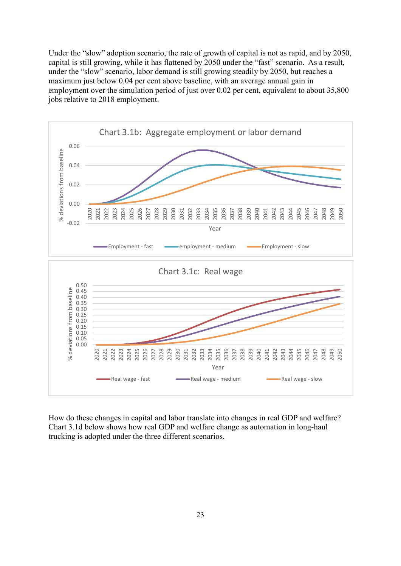Under the "slow" adoption scenario, the rate of growth of capital is not as rapid, and by 2050, capital is still growing, while it has flattened by 2050 under the "fast" scenario. As a result, under the "slow" scenario, labor demand is still growing steadily by 2050, but reaches a maximum just below 0.04 per cent above baseline, with an average annual gain in employment over the simulation period of just over 0.02 per cent, equivalent to about 35,800 jobs relative to 2018 employment.



How do these changes in capital and labor translate into changes in real GDP and welfare? Chart 3.1d below shows how real GDP and welfare change as automation in long-haul trucking is adopted under the three different scenarios.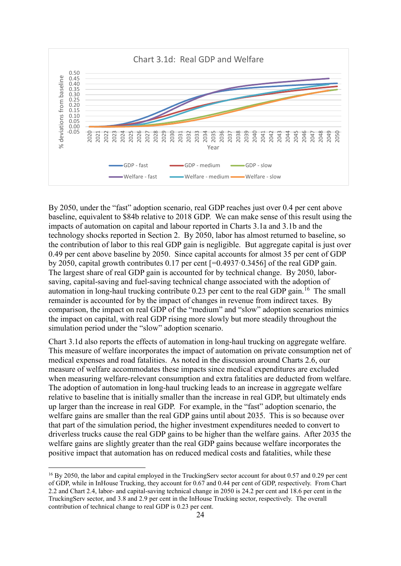

By 2050, under the "fast" adoption scenario, real GDP reaches just over 0.4 per cent above baseline, equivalent to \$84b relative to 2018 GDP. We can make sense of this result using the impacts of automation on capital and labour reported in Charts 3.1a and 3.1b and the technology shocks reported in Section 2. By 2050, labor has almost returned to baseline, so the contribution of labor to this real GDP gain is negligible. But aggregate capital is just over 0.49 per cent above baseline by 2050. Since capital accounts for almost 35 per cent of GDP by 2050, capital growth contributes 0.17 per cent [=0.4937·0.3456] of the real GDP gain. The largest share of real GDP gain is accounted for by technical change. By 2050, laborsaving, capital-saving and fuel-saving technical change associated with the adoption of automation in long-haul trucking contribute  $0.23$  per cent to the real GDP gain.<sup>[16](#page-23-0)</sup> The small remainder is accounted for by the impact of changes in revenue from indirect taxes. By comparison, the impact on real GDP of the "medium" and "slow" adoption scenarios mimics the impact on capital, with real GDP rising more slowly but more steadily throughout the simulation period under the "slow" adoption scenario.

Chart 3.1d also reports the effects of automation in long-haul trucking on aggregate welfare. This measure of welfare incorporates the impact of automation on private consumption net of medical expenses and road fatalities. As noted in the discussion around Charts 2.6, our measure of welfare accommodates these impacts since medical expenditures are excluded when measuring welfare-relevant consumption and extra fatalities are deducted from welfare. The adoption of automation in long-haul trucking leads to an increase in aggregate welfare relative to baseline that is initially smaller than the increase in real GDP, but ultimately ends up larger than the increase in real GDP. For example, in the "fast" adoption scenario, the welfare gains are smaller than the real GDP gains until about 2035. This is so because over that part of the simulation period, the higher investment expenditures needed to convert to driverless trucks cause the real GDP gains to be higher than the welfare gains. After 2035 the welfare gains are slightly greater than the real GDP gains because welfare incorporates the positive impact that automation has on reduced medical costs and fatalities, while these

<span id="page-23-0"></span><sup>&</sup>lt;sup>16</sup> By 2050, the labor and capital employed in the TruckingServ sector account for about 0.57 and 0.29 per cent of GDP, while in InHouse Trucking, they account for 0.67 and 0.44 per cent of GDP, respectively. From Chart 2.2 and Chart 2.4, labor- and capital-saving technical change in 2050 is 24.2 per cent and 18.6 per cent in the TruckingServ sector, and 3.8 and 2.9 per cent in the InHouse Trucking sector, respectively. The overall contribution of technical change to real GDP is 0.23 per cent.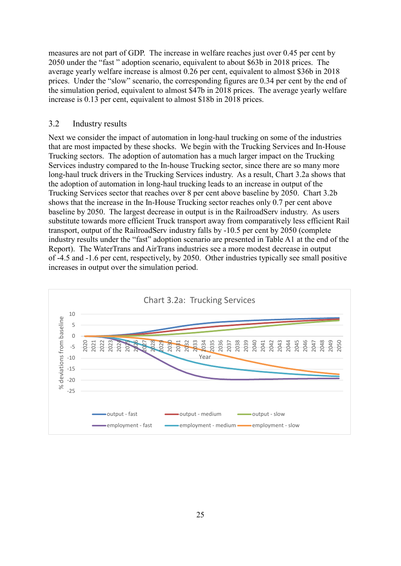measures are not part of GDP. The increase in welfare reaches just over 0.45 per cent by 2050 under the "fast " adoption scenario, equivalent to about \$63b in 2018 prices. The average yearly welfare increase is almost 0.26 per cent, equivalent to almost \$36b in 2018 prices. Under the "slow" scenario, the corresponding figures are 0.34 per cent by the end of the simulation period, equivalent to almost \$47b in 2018 prices. The average yearly welfare increase is 0.13 per cent, equivalent to almost \$18b in 2018 prices.

#### <span id="page-24-0"></span>3.2 Industry results

Next we consider the impact of automation in long-haul trucking on some of the industries that are most impacted by these shocks. We begin with the Trucking Services and In-House Trucking sectors. The adoption of automation has a much larger impact on the Trucking Services industry compared to the In-house Trucking sector, since there are so many more long-haul truck drivers in the Trucking Services industry. As a result, Chart 3.2a shows that the adoption of automation in long-haul trucking leads to an increase in output of the Trucking Services sector that reaches over 8 per cent above baseline by 2050. Chart 3.2b shows that the increase in the In-House Trucking sector reaches only 0.7 per cent above baseline by 2050. The largest decrease in output is in the RailroadServ industry. As users substitute towards more efficient Truck transport away from comparatively less efficient Rail transport, output of the RailroadServ industry falls by -10.5 per cent by 2050 (complete industry results under the "fast" adoption scenario are presented in Table A1 at the end of the Report). The WaterTrans and AirTrans industries see a more modest decrease in output of -4.5 and -1.6 per cent, respectively, by 2050. Other industries typically see small positive increases in output over the simulation period.

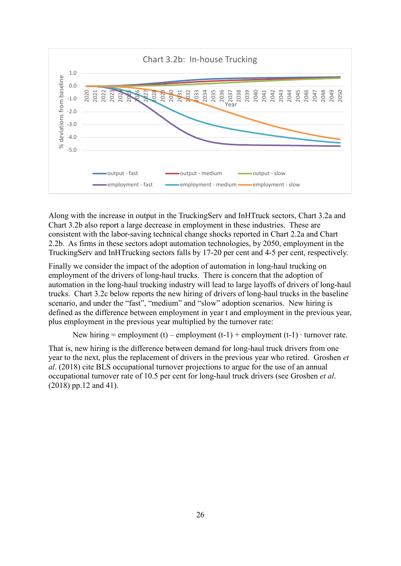

Along with the increase in output in the TruckingServ and InHTruck sectors, Chart 3.2a and Chart 3.2b also report a large decrease in employment in these industries. These are consistent with the labor-saving technical change shocks reported in Chart 2.2a and Chart 2.2b. As firms in these sectors adopt automation technologies, by 2050, employment in the TruckingServ and InHTrucking sectors falls by 17-20 per cent and 4-5 per cent, respectively.

Finally we consider the impact of the adoption of automation in long-haul trucking on employment of the drivers of long-haul trucks. There is concern that the adoption of automation in the long-haul trucking industry will lead to large layoffs of drivers of long-haul trucks. Chart 3.2c below reports the new hiring of drivers of long-haul trucks in the baseline scenario, and under the "fast", "medium" and "slow" adoption scenarios. New hiring is defined as the difference between employment in year t and employment in the previous year, plus employment in the previous year multiplied by the turnover rate:

```
New hiring = employment (t) – employment (t-1) + employment (t-1) \cdot turnover rate.
```
That is, new hiring is the difference between demand for long-haul truck drivers from one year to the next, plus the replacement of drivers in the previous year who retired. Groshen *et al*. (2018) cite BLS occupational turnover projections to argue for the use of an annual occupational turnover rate of 10.5 per cent for long-haul truck drivers (see Groshen *et al*. (2018) pp.12 and 41).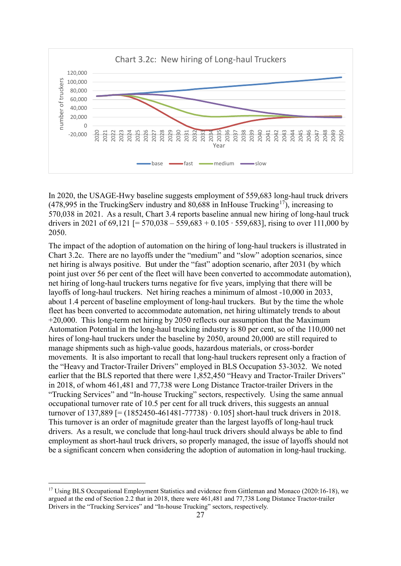

In 2020, the USAGE-Hwy baseline suggests employment of 559,683 long-haul truck drivers  $(478,995)$  in the TruckingServ industry and 80,688 in InHouse Trucking<sup>[17](#page-26-0)</sup>), increasing to 570,038 in 2021. As a result, Chart 3.4 reports baseline annual new hiring of long-haul truck drivers in 2021 of 69,121 [= 570,038 – 559,683 + 0.105 ⋅ 559,683], rising to over 111,000 by 2050.

The impact of the adoption of automation on the hiring of long-haul truckers is illustrated in Chart 3.2c. There are no layoffs under the "medium" and "slow" adoption scenarios, since net hiring is always positive. But under the "fast" adoption scenario, after 2031 (by which point just over 56 per cent of the fleet will have been converted to accommodate automation), net hiring of long-haul truckers turns negative for five years, implying that there will be layoffs of long-haul truckers. Net hiring reaches a minimum of almost -10,000 in 2033, about 1.4 percent of baseline employment of long-haul truckers. But by the time the whole fleet has been converted to accommodate automation, net hiring ultimately trends to about +20,000. This long-term net hiring by 2050 reflects our assumption that the Maximum Automation Potential in the long-haul trucking industry is 80 per cent, so of the 110,000 net hires of long-haul truckers under the baseline by 2050, around 20,000 are still required to manage shipments such as high-value goods, hazardous materials, or cross-border movements. It is also important to recall that long-haul truckers represent only a fraction of the "Heavy and Tractor-Trailer Drivers" employed in BLS Occupation 53-3032. We noted earlier that the BLS reported that there were 1,852,450 "Heavy and Tractor-Trailer Drivers" in 2018, of whom 461,481 and 77,738 were Long Distance Tractor-trailer Drivers in the "Trucking Services" and "In-house Trucking" sectors, respectively. Using the same annual occupational turnover rate of 10.5 per cent for all truck drivers, this suggests an annual turnover of 137,889 [= (1852450-461481-77738) ∙ 0.105] short-haul truck drivers in 2018. This turnover is an order of magnitude greater than the largest layoffs of long-haul truck drivers. As a result, we conclude that long-haul truck drivers should always be able to find employment as short-haul truck drivers, so properly managed, the issue of layoffs should not be a significant concern when considering the adoption of automation in long-haul trucking.

<span id="page-26-0"></span><sup>&</sup>lt;sup>17</sup> Using BLS Occupational Employment Statistics and evidence from Gittleman and Monaco (2020:16-18), we argued at the end of Section 2.2 that in 2018, there were 461,481 and 77,738 Long Distance Tractor-trailer Drivers in the "Trucking Services" and "In-house Trucking" sectors, respectively.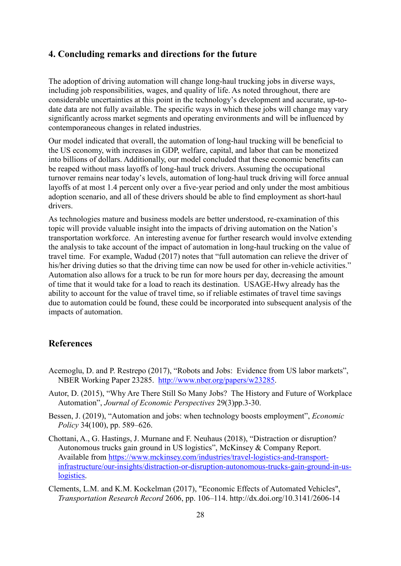#### **4. Concluding remarks and directions for the future**

The adoption of driving automation will change long-haul trucking jobs in diverse ways, including job responsibilities, wages, and quality of life. As noted throughout, there are considerable uncertainties at this point in the technology's development and accurate, up-todate data are not fully available. The specific ways in which these jobs will change may vary significantly across market segments and operating environments and will be influenced by contemporaneous changes in related industries.

Our model indicated that overall, the automation of long-haul trucking will be beneficial to the US economy, with increases in GDP, welfare, capital, and labor that can be monetized into billions of dollars. Additionally, our model concluded that these economic benefits can be reaped without mass layoffs of long-haul truck drivers. Assuming the occupational turnover remains near today's levels, automation of long-haul truck driving will force annual layoffs of at most 1.4 percent only over a five-year period and only under the most ambitious adoption scenario, and all of these drivers should be able to find employment as short-haul drivers.

As technologies mature and business models are better understood, re-examination of this topic will provide valuable insight into the impacts of driving automation on the Nation's transportation workforce. An interesting avenue for further research would involve extending the analysis to take account of the impact of automation in long-haul trucking on the value of travel time. For example, Wadud (2017) notes that "full automation can relieve the driver of his/her driving duties so that the driving time can now be used for other in-vehicle activities." Automation also allows for a truck to be run for more hours per day, decreasing the amount of time that it would take for a load to reach its destination. USAGE-Hwy already has the ability to account for the value of travel time, so if reliable estimates of travel time savings due to automation could be found, these could be incorporated into subsequent analysis of the impacts of automation.

#### <span id="page-27-0"></span>**References**

- Acemoglu, D. and P. Restrepo (2017), "Robots and Jobs: Evidence from US labor markets", NBER Working Paper 23285. [http://www.nber.org/papers/w23285.](http://www.nber.org/papers/w23285)
- Autor, D. (2015), "Why Are There Still So Many Jobs? The History and Future of Workplace Automation", *Journal of Economic Perspectives* 29(3)pp.3-30.
- Bessen, J. (2019), "Automation and jobs: when technology boosts employment", *Economic Policy* 34(100), pp. 589–626.
- Chottani, A., G. Hastings, J. Murnane and F. Neuhaus (2018), "Distraction or disruption? Autonomous trucks gain ground in US logistics", McKinsey & Company Report. Available from [https://www.mckinsey.com/industries/travel-logistics-and-transport](https://www.mckinsey.com/industries/travel-logistics-and-transport-infrastructure/our-insights/distraction-or-disruption-autonomous-trucks-gain-ground-in-us-logistics)[infrastructure/our-insights/distraction-or-disruption-autonomous-trucks-gain-ground-in-us](https://www.mckinsey.com/industries/travel-logistics-and-transport-infrastructure/our-insights/distraction-or-disruption-autonomous-trucks-gain-ground-in-us-logistics)[logistics.](https://www.mckinsey.com/industries/travel-logistics-and-transport-infrastructure/our-insights/distraction-or-disruption-autonomous-trucks-gain-ground-in-us-logistics)
- Clements, L.M. and K.M. Kockelman (2017), "Economic Effects of Automated Vehicles", *Transportation Research Record* 2606, pp. 106–114. http://dx.doi.org/10.3141/2606-14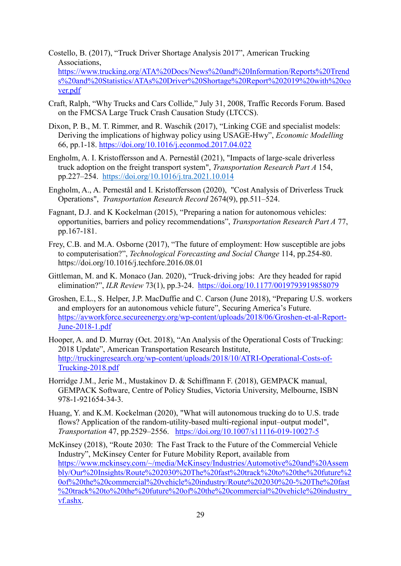Costello, B. (2017), "Truck Driver Shortage Analysis 2017", American Trucking Associations, [https://www.trucking.org/ATA%20Docs/News%20and%20Information/Reports%20Trend](https://www.trucking.org/ATA%20Docs/News%20and%20Information/Reports%20Trends%20and%20Statistics/ATAs%20Driver%20Shortage%20Report%202019%20with%20cover.pdf) [s%20and%20Statistics/ATAs%20Driver%20Shortage%20Report%202019%20with%20co](https://www.trucking.org/ATA%20Docs/News%20and%20Information/Reports%20Trends%20and%20Statistics/ATAs%20Driver%20Shortage%20Report%202019%20with%20cover.pdf) [ver.pdf](https://www.trucking.org/ATA%20Docs/News%20and%20Information/Reports%20Trends%20and%20Statistics/ATAs%20Driver%20Shortage%20Report%202019%20with%20cover.pdf)

- Craft, Ralph, "Why Trucks and Cars Collide," July 31, 2008, Traffic Records Forum. Based on the FMCSA Large Truck Crash Causation Study (LTCCS).
- Dixon, P. B., M. T. Rimmer, and R. Waschik (2017), "Linking CGE and specialist models: Deriving the implications of highway policy using USAGE-Hwy", *Economic Modelling* 66, pp.1-18.<https://doi.org/10.1016/j.econmod.2017.04.022>
- Engholm, A. I. Kristoffersson and A. Pernestål (2021), "Impacts of large-scale driverless truck adoption on the freight transport system", *Transportation Research Part A* 154, pp.227–254. <https://doi.org/10.1016/j.tra.2021.10.014>
- Engholm, A., A. Pernestål and I. Kristoffersson (2020), "Cost Analysis of Driverless Truck Operations", *Transportation Research Record* 2674(9), pp.511–524.
- Fagnant, D.J. and K Kockelman (2015), "Preparing a nation for autonomous vehicles: opportunities, barriers and policy recommendations", *Transportation Research Part A* 77, pp.167-181.
- Frey, C.B. and M.A. Osborne (2017), "The future of employment: How susceptible are jobs to computerisation?", *Technological Forecasting and Social Change* 114, pp.254-80. https://doi.org/10.1016/j.techfore.2016.08.01
- Gittleman, M. and K. Monaco (Jan. 2020), "Truck-driving jobs: Are they headed for rapid elimination?", *ILR Review* 73(1), pp.3-24. <https://doi.org/10.1177/0019793919858079>
- Groshen, E.L., S. Helper, J.P. MacDuffie and C. Carson (June 2018), "Preparing U.S. workers and employers for an autonomous vehicle future", Securing America's Future. https://avworkforce.secureenergy.org/wp-content/uploads/2018/06/Groshen-et-al-Report-June-2018-1.pdf
- Hooper, A. and D. Murray (Oct. 2018), "An Analysis of the Operational Costs of Trucking: 2018 Update", American Transportation Research Institute, [http://truckingresearch.org/wp-content/uploads/2018/10/ATRI-Operational-Costs-of-](http://truckingresearch.org/wp-content/uploads/2018/10/ATRI-Operational-Costs-of-Trucking-2018.pdf)[Trucking-2018.pdf](http://truckingresearch.org/wp-content/uploads/2018/10/ATRI-Operational-Costs-of-Trucking-2018.pdf)
- Horridge J.M., Jerie M., Mustakinov D. & Schiffmann F. (2018), GEMPACK manual, GEMPACK Software, Centre of Policy Studies, Victoria University, Melbourne, ISBN 978-1-921654-34-3.
- Huang, Y. and K.M. Kockelman (2020), "What will autonomous trucking do to U.S. trade flows? Application of the random-utility-based multi-regional input–output model", *Transportation* 47, pp.2529–2556. <https://doi.org/10.1007/s11116-019-10027-5>
- McKinsey (2018), "Route 2030: The Fast Track to the Future of the Commercial Vehicle Industry", McKinsey Center for Future Mobility Report, available from [https://www.mckinsey.com/~/media/McKinsey/Industries/Automotive%20and%20Assem](https://www.mckinsey.com/%7E/media/McKinsey/Industries/Automotive%20and%20Assembly/Our%20Insights/Route%202030%20The%20fast%20track%20to%20the%20future%20of%20the%20commercial%20vehicle%20industry/Route%202030%20-%20The%20fast%20track%20to%20the%20future%20of%20the%20commercial%20vehicle%20industry_vf.ashx) [bly/Our%20Insights/Route%202030%20The%20fast%20track%20to%20the%20future%2](https://www.mckinsey.com/%7E/media/McKinsey/Industries/Automotive%20and%20Assembly/Our%20Insights/Route%202030%20The%20fast%20track%20to%20the%20future%20of%20the%20commercial%20vehicle%20industry/Route%202030%20-%20The%20fast%20track%20to%20the%20future%20of%20the%20commercial%20vehicle%20industry_vf.ashx) [0of%20the%20commercial%20vehicle%20industry/Route%202030%20-%20The%20fast](https://www.mckinsey.com/%7E/media/McKinsey/Industries/Automotive%20and%20Assembly/Our%20Insights/Route%202030%20The%20fast%20track%20to%20the%20future%20of%20the%20commercial%20vehicle%20industry/Route%202030%20-%20The%20fast%20track%20to%20the%20future%20of%20the%20commercial%20vehicle%20industry_vf.ashx) [%20track%20to%20the%20future%20of%20the%20commercial%20vehicle%20industry\\_](https://www.mckinsey.com/%7E/media/McKinsey/Industries/Automotive%20and%20Assembly/Our%20Insights/Route%202030%20The%20fast%20track%20to%20the%20future%20of%20the%20commercial%20vehicle%20industry/Route%202030%20-%20The%20fast%20track%20to%20the%20future%20of%20the%20commercial%20vehicle%20industry_vf.ashx) [vf.ashx.](https://www.mckinsey.com/%7E/media/McKinsey/Industries/Automotive%20and%20Assembly/Our%20Insights/Route%202030%20The%20fast%20track%20to%20the%20future%20of%20the%20commercial%20vehicle%20industry/Route%202030%20-%20The%20fast%20track%20to%20the%20future%20of%20the%20commercial%20vehicle%20industry_vf.ashx)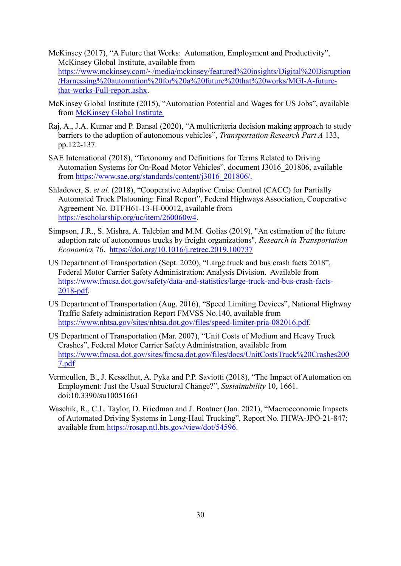- McKinsey (2017), "A Future that Works: Automation, Employment and Productivity", McKinsey Global Institute, available from [https://www.mckinsey.com/~/media/mckinsey/featured%20insights/Digital%20Disruption](https://www.mckinsey.com/%7E/media/mckinsey/featured%20insights/Digital%20Disruption/Harnessing%20automation%20for%20a%20future%20that%20works/MGI-A-future-that-works-Full-report.ashx) [/Harnessing%20automation%20for%20a%20future%20that%20works/MGI-A-future](https://www.mckinsey.com/%7E/media/mckinsey/featured%20insights/Digital%20Disruption/Harnessing%20automation%20for%20a%20future%20that%20works/MGI-A-future-that-works-Full-report.ashx)[that-works-Full-report.ashx.](https://www.mckinsey.com/%7E/media/mckinsey/featured%20insights/Digital%20Disruption/Harnessing%20automation%20for%20a%20future%20that%20works/MGI-A-future-that-works-Full-report.ashx)
- McKinsey Global Institute (2015), "Automation Potential and Wages for US Jobs", available from [McKinsey Global Institute.](https://public.tableau.com/profile/mckinsey.analytics#!/vizhome/AutomationandUSjobs/Technicalpotentialforautomation)
- Raj, A., J.A. Kumar and P. Bansal (2020), "A multicriteria decision making approach to study barriers to the adoption of autonomous vehicles", *Transportation Research Part A* 133, pp.122-137.
- SAE International (2018), "Taxonomy and Definitions for Terms Related to Driving Automation Systems for On-Road Motor Vehicles", document J3016\_201806, available from [https://www.sae.org/standards/content/j3016\\_201806/.](https://www.sae.org/standards/content/j3016_201806/)
- Shladover, S. *et al.* (2018), "Cooperative Adaptive Cruise Control (CACC) for Partially Automated Truck Platooning: Final Report", Federal Highways Association, Cooperative Agreement No. DTFH61-13-H-00012, available from [https://escholarship.org/uc/item/260060w4.](https://escholarship.org/uc/item/260060w4)
- Simpson, J.R., S. Mishra, A. Talebian and M.M. Golias (2019), "An estimation of the future adoption rate of autonomous trucks by freight organizations", *Research in Transportation Economics* 76. <https://doi.org/10.1016/j.retrec.2019.100737>
- US Department of Transportation (Sept. 2020), "Large truck and bus crash facts 2018", Federal Motor Carrier Safety Administration: Analysis Division. Available from [https://www.fmcsa.dot.gov/safety/data-and-statistics/large-truck-and-bus-crash-facts-](https://www.fmcsa.dot.gov/safety/data-and-statistics/large-truck-and-bus-crash-facts-2018-pdf)[2018-pdf.](https://www.fmcsa.dot.gov/safety/data-and-statistics/large-truck-and-bus-crash-facts-2018-pdf)
- US Department of Transportation (Aug. 2016), "Speed Limiting Devices", National Highway Traffic Safety administration Report FMVSS No.140, available from [https://www.nhtsa.gov/sites/nhtsa.dot.gov/files/speed-limiter-pria-082016.pdf.](https://www.nhtsa.gov/sites/nhtsa.dot.gov/files/speed-limiter-pria-082016.pdf)
- US Department of Transportation (Mar. 2007), "Unit Costs of Medium and Heavy Truck Crashes", Federal Motor Carrier Safety Administration, available from [https://www.fmcsa.dot.gov/sites/fmcsa.dot.gov/files/docs/UnitCostsTruck%20Crashes200](https://www.fmcsa.dot.gov/sites/fmcsa.dot.gov/files/docs/UnitCostsTruck%20Crashes2007.pdf) [7.pdf](https://www.fmcsa.dot.gov/sites/fmcsa.dot.gov/files/docs/UnitCostsTruck%20Crashes2007.pdf)
- Vermeullen, B., J. Kesselhut, A. Pyka and P.P. Saviotti (2018), "The Impact of Automation on Employment: Just the Usual Structural Change?", *Sustainability* 10, 1661. doi:10.3390/su10051661
- Waschik, R., C.L. Taylor, D. Friedman and J. Boatner (Jan. 2021), "Macroeconomic Impacts of Automated Driving Systems in Long-Haul Trucking", Report No. FHWA-JPO-21-847; available from [https://rosap.ntl.bts.gov/view/dot/54596.](https://rosap.ntl.bts.gov/view/dot/54596)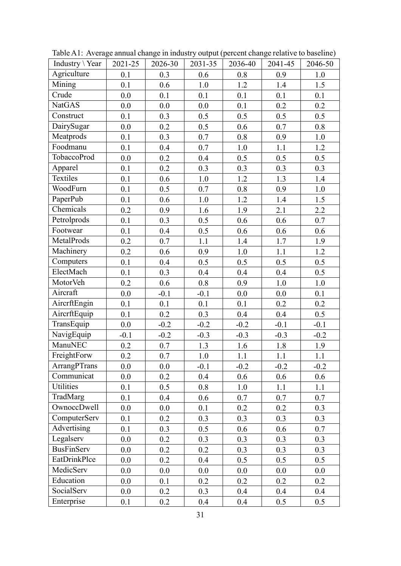| Industry \Year | 2021-25 | 2026-30 | 2031-35 | 2036-40 | 2041-45 | 2046-50 |
|----------------|---------|---------|---------|---------|---------|---------|
| Agriculture    | 0.1     | 0.3     | 0.6     | 0.8     | 0.9     | 1.0     |
| Mining         | 0.1     | 0.6     | 1.0     | 1.2     | 1.4     | 1.5     |
| Crude          | 0.0     | 0.1     | 0.1     | 0.1     | 0.1     | 0.1     |
| <b>NatGAS</b>  | 0.0     | 0.0     | 0.0     | 0.1     | 0.2     | 0.2     |
| Construct      | 0.1     | 0.3     | 0.5     | 0.5     | 0.5     | 0.5     |
| DairySugar     | $0.0\,$ | $0.2\,$ | $0.5\,$ | $0.6\,$ | $0.7\,$ | $0.8\,$ |
| Meatprods      | 0.1     | 0.3     | 0.7     | 0.8     | 0.9     | 1.0     |
| Foodmanu       | 0.1     | 0.4     | 0.7     | 1.0     | 1.1     | 1.2     |
| TobaccoProd    | $0.0\,$ | 0.2     | $0.4\,$ | 0.5     | 0.5     | 0.5     |
| Apparel        | 0.1     | 0.2     | 0.3     | 0.3     | 0.3     | 0.3     |
| Textiles       | 0.1     | 0.6     | 1.0     | 1.2     | 1.3     | 1.4     |
| WoodFurn       | 0.1     | 0.5     | 0.7     | 0.8     | 0.9     | 1.0     |
| PaperPub       | 0.1     | 0.6     | 1.0     | 1.2     | 1.4     | 1.5     |
| Chemicals      | 0.2     | 0.9     | 1.6     | 1.9     | 2.1     | 2.2     |
| Petrolprods    | 0.1     | 0.3     | 0.5     | 0.6     | 0.6     | 0.7     |
| Footwear       | 0.1     | 0.4     | 0.5     | 0.6     | 0.6     | 0.6     |
| MetalProds     | $0.2\,$ | 0.7     | 1.1     | 1.4     | 1.7     | 1.9     |
| Machinery      | 0.2     | 0.6     | 0.9     | 1.0     | 1.1     | 1.2     |
| Computers      | 0.1     | 0.4     | 0.5     | 0.5     | 0.5     | 0.5     |
| ElectMach      | 0.1     | 0.3     | $0.4\,$ | $0.4\,$ | 0.4     | 0.5     |
| MotorVeh       | 0.2     | 0.6     | 0.8     | 0.9     | 1.0     | $1.0\,$ |
| Aircraft       | 0.0     | $-0.1$  | $-0.1$  | 0.0     | 0.0     | 0.1     |
| AircrftEngin   | 0.1     | 0.1     | 0.1     | 0.1     | 0.2     | $0.2\,$ |
| AircrftEquip   | 0.1     | 0.2     | 0.3     | 0.4     | 0.4     | 0.5     |
| TransEquip     | 0.0     | $-0.2$  | $-0.2$  | $-0.2$  | $-0.1$  | $-0.1$  |
| NavigEquip     | $-0.1$  | $-0.2$  | $-0.3$  | $-0.3$  | $-0.3$  | $-0.2$  |
| ManuNEC        | 0.2     | 0.7     | 1.3     | 1.6     | 1.8     | 1.9     |
| FreightForw    | 0.2     | 0.7     | 1.0     | 1.1     | 1.1     | $1.1\,$ |
| ArrangPTrans   | 0.0     | 0.0     | $-0.1$  | $-0.2$  | $-0.2$  | $-0.2$  |
| Communicat     | 0.0     | 0.2     | 0.4     | 0.6     | 0.6     | 0.6     |
| Utilities      | 0.1     | 0.5     | 0.8     | 1.0     | 1.1     | 1.1     |
| TradMarg       | 0.1     | 0.4     | 0.6     | 0.7     | 0.7     | 0.7     |
| OwnoccDwell    | 0.0     | $0.0\,$ | 0.1     | 0.2     | 0.2     | 0.3     |
| ComputerServ   | 0.1     | 0.2     | 0.3     | 0.3     | 0.3     | 0.3     |
| Advertising    | 0.1     | 0.3     | 0.5     | 0.6     | 0.6     | 0.7     |
| Legalserv      | 0.0     | 0.2     | 0.3     | 0.3     | 0.3     | 0.3     |
| BusFinServ     | 0.0     | 0.2     | 0.2     | 0.3     | 0.3     | 0.3     |
| EatDrinkPlce   | 0.0     | 0.2     | 0.4     | 0.5     | 0.5     | 0.5     |
| MedicServ      | 0.0     | 0.0     | 0.0     | 0.0     | 0.0     | 0.0     |
| Education      | 0.0     | 0.1     | 0.2     | 0.2     | 0.2     | 0.2     |
| SocialServ     | 0.0     | 0.2     | 0.3     | 0.4     | 0.4     | 0.4     |
| Enterprise     | 0.1     | 0.2     | 0.4     | 0.4     | 0.5     | 0.5     |

Table A1: Average annual change in industry output (percent change relative to baseline)